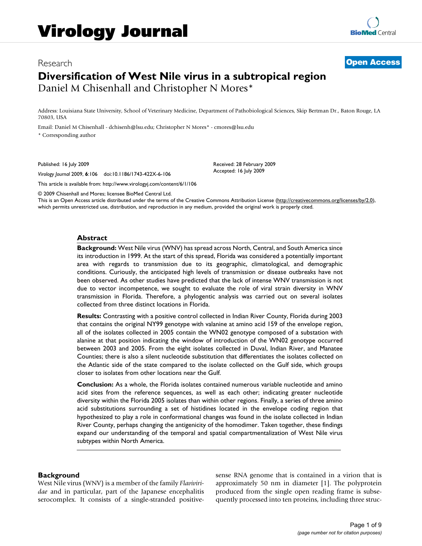# Research **[Open Access](http://www.biomedcentral.com/info/about/charter/) Diversification of West Nile virus in a subtropical region** Daniel M Chisenhall and Christopher N Mores\*

Address: Louisiana State University, School of Veterinary Medicine, Department of Pathobiological Sciences, Skip Bertman Dr., Baton Rouge, LA 70803, USA

Email: Daniel M Chisenhall - dchisenh@lsu.edu; Christopher N Mores\* - cmores@lsu.edu \* Corresponding author

Published: 16 July 2009

*Virology Journal* 2009, **6**:106 doi:10.1186/1743-422X-6-106

[This article is available from: http://www.virologyj.com/content/6/1/106](http://www.virologyj.com/content/6/1/106)

Received: 28 February 2009 Accepted: 16 July 2009

© 2009 Chisenhall and Mores; licensee BioMed Central Ltd.

This is an Open Access article distributed under the terms of the Creative Commons Attribution License [\(http://creativecommons.org/licenses/by/2.0\)](http://creativecommons.org/licenses/by/2.0), which permits unrestricted use, distribution, and reproduction in any medium, provided the original work is properly cited.

#### **Abstract**

**Background:** West Nile virus (WNV) has spread across North, Central, and South America since its introduction in 1999. At the start of this spread, Florida was considered a potentially important area with regards to transmission due to its geographic, climatological, and demographic conditions. Curiously, the anticipated high levels of transmission or disease outbreaks have not been observed. As other studies have predicted that the lack of intense WNV transmission is not due to vector incompetence, we sought to evaluate the role of viral strain diversity in WNV transmission in Florida. Therefore, a phylogentic analysis was carried out on several isolates collected from three distinct locations in Florida.

**Results:** Contrasting with a positive control collected in Indian River County, Florida during 2003 that contains the original NY99 genotype with valanine at amino acid 159 of the envelope region, all of the isolates collected in 2005 contain the WN02 genotype composed of a substation with alanine at that position indicating the window of introduction of the WN02 genotype occurred between 2003 and 2005. From the eight isolates collected in Duval, Indian River, and Manatee Counties; there is also a silent nucleotide substitution that differentiates the isolates collected on the Atlantic side of the state compared to the isolate collected on the Gulf side, which groups closer to isolates from other locations near the Gulf.

**Conclusion:** As a whole, the Florida isolates contained numerous variable nucleotide and amino acid sites from the reference sequences, as well as each other; indicating greater nucleotide diversity within the Florida 2005 isolates than within other regions. Finally, a series of three amino acid substitutions surrounding a set of histidines located in the envelope coding region that hypothesized to play a role in conformational changes was found in the isolate collected in Indian River County, perhaps changing the antigenicity of the homodimer. Taken together, these findings expand our understanding of the temporal and spatial compartmentalization of West Nile virus subtypes within North America.

#### **Background**

West Nile virus (WNV) is a member of the family *Flaviviridae* and in particular, part of the Japanese encephalitis serocomplex. It consists of a single-stranded positivesense RNA genome that is contained in a virion that is approximately 50 nm in diameter [1]. The polyprotein produced from the single open reading frame is subsequently processed into ten proteins, including three struc-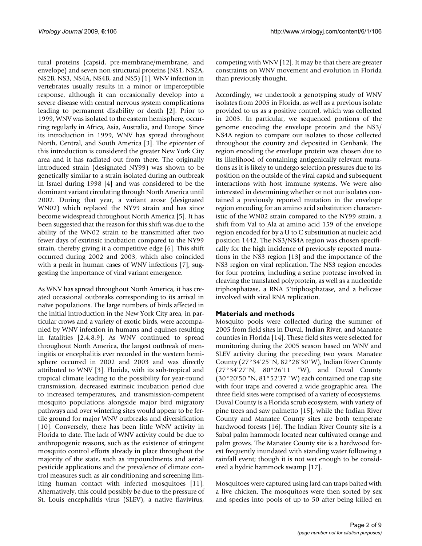tural proteins (capsid, pre-membrane/membrane, and envelope) and seven non-structural proteins (NS1, NS2A, NS2B, NS3, NS4A, NS4B, and NS5) [1]. WNV infection in vertebrates usually results in a minor or imperceptible response, although it can occasionally develop into a severe disease with central nervous system complications leading to permanent disability or death [2]. Prior to 1999, WNV was isolated to the eastern hemisphere, occurring regularly in Africa, Asia, Australia, and Europe. Since its introduction in 1999, WNV has spread throughout North, Central, and South America [3]. The epicenter of this introduction is considered the greater New York City area and it has radiated out from there. The originally introduced strain (designated NY99) was shown to be genetically similar to a strain isolated during an outbreak in Israel during 1998 [4] and was considered to be the dominant variant circulating through North America until 2002. During that year, a variant arose (designated WN02) which replaced the NY99 strain and has since become widespread throughout North America [5]. It has been suggested that the reason for this shift was due to the ability of the WN02 strain to be transmitted after two fewer days of extrinsic incubation compared to the NY99 strain, thereby giving it a competitive edge [6]. This shift occurred during 2002 and 2003, which also coincided with a peak in human cases of WNV infections [7], suggesting the importance of viral variant emergence.

As WNV has spread throughout North America, it has created occasional outbreaks corresponding to its arrival in naïve populations. The large numbers of birds affected in the initial introduction in the New York City area, in particular crows and a variety of exotic birds, were accompanied by WNV infection in humans and equines resulting in fatalities [2,4,8,9]. As WNV continued to spread throughout North America, the largest outbreak of meningitis or encephalitis ever recorded in the western hemisphere occurred in 2002 and 2003 and was directly attributed to WNV [3]. Florida, with its sub-tropical and tropical climate leading to the possibility for year-round transmission, decreased extrinsic incubation period due to increased temperatures, and transmission-competent mosquito populations alongside major bird migratory pathways and over wintering sites would appear to be fertile ground for major WNV outbreaks and diversification [10]. Conversely, there has been little WNV activity in Florida to date. The lack of WNV activity could be due to anthropogenic reasons, such as the existence of stringent mosquito control efforts already in place throughout the majority of the state, such as impoundments and aerial pesticide applications and the prevalence of climate control measures such as air conditioning and screening limiting human contact with infected mosquitoes [11]. Alternatively, this could possibly be due to the pressure of St. Louis encephalitis virus (SLEV), a native flavivirus,

competing with WNV [12]. It may be that there are greater constraints on WNV movement and evolution in Florida than previously thought.

Accordingly, we undertook a genotyping study of WNV isolates from 2005 in Florida, as well as a previous isolate provided to us as a positive control, which was collected in 2003. In particular, we sequenced portions of the genome encoding the envelope protein and the NS3/ NS4A region to compare our isolates to those collected throughout the country and deposited in Genbank. The region encoding the envelope protein was chosen due to its likelihood of containing antigenically relevant mutations as it is likely to undergo selection pressures due to its position on the outside of the viral capsid and subsequent interactions with host immune systems. We were also interested in determining whether or not our isolates contained a previously reported mutation in the envelope region encoding for an amino acid substitution characteristic of the WN02 strain compared to the NY99 strain, a shift from Val to Ala at amino acid 159 of the envelope region encoded for by a U to C substitution at nucleic acid position 1442. The NS3/NS4A region was chosen specifically for the high incidence of previously reported mutations in the NS3 region [13] and the importance of the NS3 region on viral replication. The NS3 region encodes for four proteins, including a serine protease involved in cleaving the translated polyprotein, as well as a nucleotide triphosphatase, a RNA 5'triphosphatase, and a helicase involved with viral RNA replication.

# **Materials and methods**

Mosquito pools were collected during the summer of 2005 from field sites in Duval, Indian River, and Manatee counties in Florida [14]. These field sites were selected for monitoring during the 2005 season based on WNV and SLEV activity during the preceding two years. Manatee County (27°34'25"N, 82°28'30"W), Indian River County (27°34'27"N, 80°26'11 "W), and Duval County (30°20'50 "N, 81°52'37 "W) each contained one trap site with four traps and covered a wide geographic area. The three field sites were comprised of a variety of ecosystems. Duval County is a Florida scrub ecosystem, with variety of pine trees and saw palmetto [15], while the Indian River County and Manatee County sites are both temperate hardwood forests [16]. The Indian River County site is a Sabal palm hammock located near cultivated orange and palm groves. The Manatee County site is a hardwood forest frequently inundated with standing water following a rainfall event; though it is not wet enough to be considered a hydric hammock swamp [17].

Mosquitoes were captured using lard can traps baited with a live chicken. The mosquitoes were then sorted by sex and species into pools of up to 50 after being killed en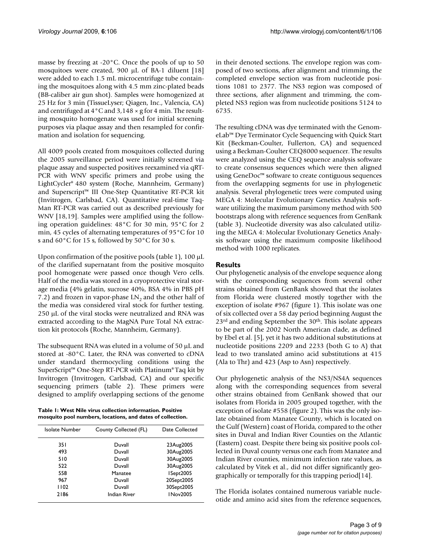masse by freezing at -20°C. Once the pools of up to 50 mosquitoes were created, 900 μL of BA-1 diluent [18] were added to each 1.5 mL microcentrifuge tube containing the mosquitoes along with 4.5 mm zinc-plated beads (BB-caliber air gun shot). Samples were homogenized at 25 Hz for 3 min (TissueLyser; Qiagen, Inc., Valencia, CA) and centrifuged at 4°C and 3,148 × g for 4 min. The resulting mosquito homogenate was used for initial screening purposes via plaque assay and then resampled for confirmation and isolation for sequencing.

All 4009 pools created from mosquitoes collected during the 2005 surveillance period were initially screened via plaque assay and suspected positives reexamined via qRT-PCR with WNV specific primers and probe using the LightCycler® 480 system (Roche, Mannheim, Germany) and Superscript™ III One-Step Quantitative RT-PCR kit (Invitrogen, Carlsbad, CA). Quantitative real-time Taq-Man RT-PCR was carried out as described previously for WNV [18,19]. Samples were amplified using the following operation guidelines: 48°C for 30 min, 95°C for 2 min, 45 cycles of alternating temperatures of 95°C for 10 s and  $60^{\circ}$ C for 15 s, followed by  $50^{\circ}$ C for 30 s.

Upon confirmation of the positive pools (table 1), 100 μL of the clarified supernatant from the positive mosquito pool homogenate were passed once though Vero cells. Half of the media was stored in a cryoprotective viral storage media (4% gelatin, sucrose 40%, BSA 4% in PBS pH 7.2) and frozen in vapor-phase  $LN<sub>2</sub>$  and the other half of the media was considered viral stock for further testing. 250 μL of the viral stocks were neutralized and RNA was extracted according to the MagNA Pure Total NA extraction kit protocols (Roche, Mannheim, Germany).

The subsequent RNA was eluted in a volume of 50 μL and stored at -80°C. Later, the RNA was converted to cDNA under standard thermocycling conditions using the SuperScript™ One-Step RT-PCR with Platinum® Taq kit by Invitrogen (Invitrogen, Carlsbad, CA) and our specific sequencing primers (table 2). These primers were designed to amplify overlapping sections of the genome

**Table 1: West Nile virus collection information. Positive mosquito pool numbers, locations, and dates of collection.**

| Isolate Number | County Collected (FL) | Date Collected |
|----------------|-----------------------|----------------|
| 35 I           | Duvall                | 23Aug2005      |
| 493            | Duvall                | 30Aug2005      |
| 510            | Duvall                | 30Aug2005      |
| 522            | Duvall                | 30Aug2005      |
| 558            | Manatee               | ISept2005      |
| 967            | Duvall                | 20Sept2005     |
| 1102           | Duvall                | 30Sept2005     |
| 2186           | Indian River          | INov2005       |

in their denoted sections. The envelope region was composed of two sections, after alignment and trimming, the completed envelope section was from nucleotide positions 1081 to 2377. The NS3 region was composed of three sections, after alignment and trimming, the completed NS3 region was from nucleotide positions 5124 to 6735.

The resulting cDNA was dye terminated with the GenomeLab™ Dye Terminator Cycle Sequencing with Quick Start Kit (Beckman-Coulter, Fullerton, CA) and sequenced using a Beckman-Coulter CEQ8000 sequencer. The results were analyzed using the CEQ sequence analysis software to create consensus sequences which were then aligned using GeneDoc™ software to create contiguous sequences from the overlapping segments for use in phylogenetic analysis. Several phylogenetic trees were computed using MEGA 4: Molecular Evolutionary Genetics Analysis software utilizing the maximum parsimony method with 500 bootstraps along with reference sequences from GenBank (table 3). Nucleotide diversity was also calculated utilizing the MEGA 4: Molecular Evolutionary Genetics Analysis software using the maximum composite likelihood method with 1000 replicates.

# **Results**

Our phylogenetic analysis of the envelope sequence along with the corresponding sequences from several other strains obtained from GenBank showed that the isolates from Florida were clustered mostly together with the exception of isolate #967 (figure 1). This isolate was one of six collected over a 58 day period beginning August the  $23<sup>rd</sup>$  and ending September the  $30<sup>th</sup>$ . This isolate appears to be part of the 2002 North American clade, as defined by Ebel et al. [5], yet it has two additional substitutions at nucleotide positions 2209 and 2233 (both G to A) that lead to two translated amino acid substitutions at 415 (Ala to Thr) and 423 (Asp to Asn) respectively.

Our phylogenetic analysis of the NS3/NS4A sequences along with the corresponding sequences from several other strains obtained from GenBank showed that our isolates from Florida in 2005 grouped together, with the exception of isolate #558 (figure 2). This was the only isolate obtained from Manatee County, which is located on the Gulf (Western) coast of Florida, compared to the other sites in Duval and Indian River Counties on the Atlantic (Eastern) coast. Despite there being six positive pools collected in Duval county versus one each from Manatee and Indian River counties, minimum infection rate values, as calculated by Vitek et al., did not differ significantly geographically or temporally for this trapping period[14].

The Florida isolates contained numerous variable nucleotide and amino acid sites from the reference sequences,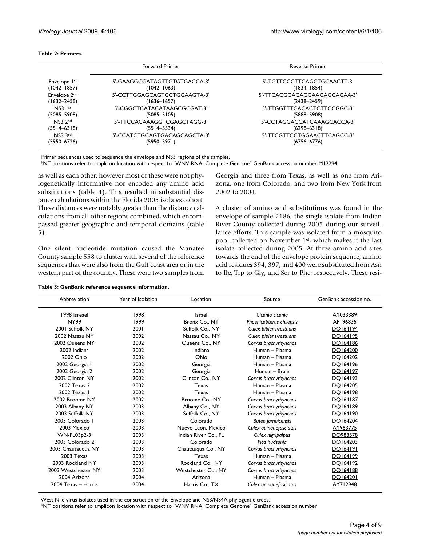| Table 2: Primers. |  |
|-------------------|--|
|-------------------|--|

|                          | <b>Forward Primer</b>        | <b>Reverse Primer</b>        |
|--------------------------|------------------------------|------------------------------|
| Envelope 1st             | 5'-GAAGGCGATAGTTGTGTGACCA-3' | 5'-TGTTCCCTTCAGCTGCAACTT-3'  |
| $(1042 - 1857)$          | $(1042 - 1063)$              | $(1834 - 1854)$              |
| Envelope 2 <sup>nd</sup> | 5'-CCTTGGAGCAGTGCTGGAAGTA-3' | 5'-TTCACGGAGAGGAAGAGCAGAA-3' |
| $(1632 - 2459)$          | $(1636 - 1657)$              | $(2438 - 2459)$              |
| $NS3$ $1st$              | 5'-CGGCTCATACATAAGCGCGAT-3'  | 5'-TTGGTTTCACACTCTTCCGGC-3'  |
| $(5085 - 5908)$          | $(5085 - 5105)$              | $(5888 - 5908)$              |
| NS3 2nd                  | 5'-TTCCACAAAGGTCGAGCTAGG-3'  | 5'-CCTAGGACCATCAAAGCACCA-3'  |
| $(5514 - 6318)$          | $(5514 - 5534)$              | $(6298 - 6318)$              |
| NS3 3rd                  | 5'-CCATCTGCAGTGACAGCAGCTA-3' | 5'-TTCGTTCCTGGAACTTCAGCC-3'  |
| (5950–6726)              | $(5950 - 5971)$              | $(6756 - 6776)$              |

Primer sequences used to sequence the envelope and NS3 regions of the samples.

\*NT positions refer to amplicon location with respect to "WNV RNA, Complete Genome" GenBank accession number [M12294](http://www.ncbi.nih.gov/entrez/query.fcgi?db=Nucleotide&cmd=search&term=M12294)

as well as each other; however most of these were not phylogenetically informative nor encoded any amino acid substitutions (table 4). This resulted in substantial distance calculations within the Florida 2005 isolates cohort. These distances were notably greater than the distance calculations from all other regions combined, which encompassed greater geographic and temporal domains (table 5).

One silent nucleotide mutation caused the Manatee County sample 558 to cluster with several of the reference sequences that were also from the Gulf coast area or in the western part of the country. These were two samples from

Georgia and three from Texas, as well as one from Arizona, one from Colorado, and two from New York from 2002 to 2004.

A cluster of amino acid substitutions was found in the envelope of sample 2186, the single isolate from Indian River County collected during 2005 during our surveillance efforts. This sample was isolated from a mosquito pool collected on November 1st, which makes it the last isolate collected during 2005. At three amino acid sites towards the end of the envelope protein sequence, amino acid residues 394, 397, and 400 were substituted from Asn to Ile, Trp to Gly, and Ser to Phe; respectively. These resi-

| Abbreviation        | Year of Isolation | Location             | Source                   | GenBank accession no. |
|---------------------|-------------------|----------------------|--------------------------|-----------------------|
| 1998 Isreael        | 1998              | Israel               | Ciconia ciconia          | AY033389              |
| <b>NY99</b>         | 1999              | Bronx Co., NY        | Phoenicopterus chilensis | AF196835              |
| 2001 Suffolk NY     | 2001              | Suffolk Co., NY      | Culex pipiens/restuans   | DO164194              |
| 2002 Nassau NY      | 2002              | Nassau Co., NY       | Culex pipiens/restuans   | DO164195              |
| 2002 Queens NY      | 2002              | Queens Co., NY       | Corvus brachyrhynchos    | DO164186              |
| 2002 Indiana        | 2002              | Indiana              | Human - Plasma           | DO164200              |
| 2002 Ohio           | 2002              | Ohio                 | Human - Plasma           | DO164202              |
| 2002 Georgia I      | 2002              | Georgia              | Human - Plasma           | DO164196              |
| 2002 Georgia 2      | 2002              | Georgia              | Human - Brain            | DO164197              |
| 2002 Clinton NY     | 2002              | Clinton Co., NY      | Corvus brachyrhynchos    | DO164193              |
| 2002 Texas 2        | 2002              | Texas                | Human - Plasma           | DO164205              |
| 2002 Texas 1        | 2002              | Texas                | Human - Plasma           | DO164198              |
| 2002 Broome NY      | 2002              | Broome Co., NY       | Corvus brachyrhynchos    | DO164187              |
| 2003 Albany NY      | 2003              | Albany Co., NY       | Corvus brachyrhynchos    | DO164189              |
| 2003 Suffolk NY     | 2003              | Suffolk Co., NY      | Corvus brachyrhynchos    | DO164190              |
| 2003 Colorado I     | 2003              | Colorado             | <b>Buteo</b> jamaicensis | DO164204              |
| 2003 Mexico         | 2003              | Nuevo Leon, Mexico   | Culex quinquefasciatus   | AY963775              |
| WN-FL03p2-3         | 2003              | Indian River Co., FL | Culex nigripalpus        | DQ983578              |
| 2003 Colorado 2     | 2003              | Colorado             | Pica hudsonia            | DO164203              |
| 2003 Chautauqua NY  | 2003              | Chautauqua Co., NY   | Corvus brachyrhynchos    | DO164191              |
| 2003 Texas          | 2003              | Texas                | Human - Plasma           | DO164199              |
| 2003 Rockland NY    | 2003              | Rockland Co., NY     | Corvus brachyrhynchos    | DQ164192              |
| 2003 Westchester NY | 2003              | Westchester Co., NY  | Corvus brachyrhynchos    | DO164188              |
| 2004 Arizona        | 2004              | Arizona              | Human - Plasma           | DO164201              |
| 2004 Texas - Harris | 2004              | Harris Co., TX       | Culex quinquefasciatus   | AY712948              |

West Nile virus isolates used in the construction of the Envelope and NS3/NS4A phylogentic trees.

\*NT positions refer to amplicon location with respect to "WNV RNA, Complete Genome" GenBank accession number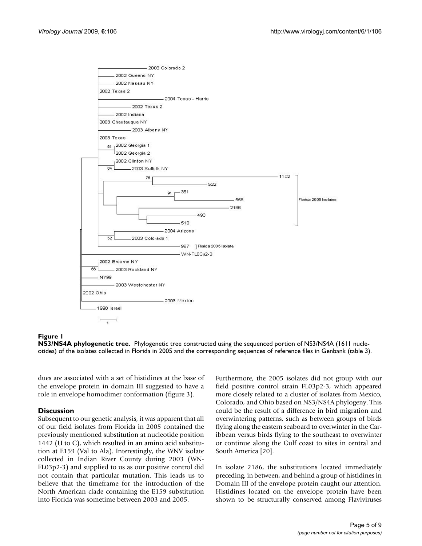

# **Figure 1**

**NS3/NS4A phylogenetic tree.** Phylogenetic tree constructed using the sequenced portion of NS3/NS4A (1611 nucleotides) of the isolates collected in Florida in 2005 and the corresponding sequences of reference files in Genbank (table 3).

dues are associated with a set of histidines at the base of the envelope protein in domain III suggested to have a role in envelope homodimer conformation (figure 3).

# **Discussion**

Subsequent to our genetic analysis, it was apparent that all of our field isolates from Florida in 2005 contained the previously mentioned substitution at nucleotide position 1442 (U to C), which resulted in an amino acid substitution at E159 (Val to Ala). Interestingly, the WNV isolate collected in Indian River County during 2003 (WN-FL03p2-3) and supplied to us as our positive control did not contain that particular mutation. This leads us to believe that the timeframe for the introduction of the North American clade containing the E159 substitution into Florida was sometime between 2003 and 2005.

Furthermore, the 2005 isolates did not group with our field positive control strain FL03p2-3, which appeared more closely related to a cluster of isolates from Mexico, Colorado, and Ohio based on NS3/NS4A phylogeny. This could be the result of a difference in bird migration and overwintering patterns, such as between groups of birds flying along the eastern seaboard to overwinter in the Caribbean versus birds flying to the southeast to overwinter or continue along the Gulf coast to sites in central and South America [20].

In isolate 2186, the substitutions located immediately preceding, in between, and behind a group of histidines in Domain III of the envelope protein caught our attention. Histidines located on the envelope protein have been shown to be structurally conserved among Flaviviruses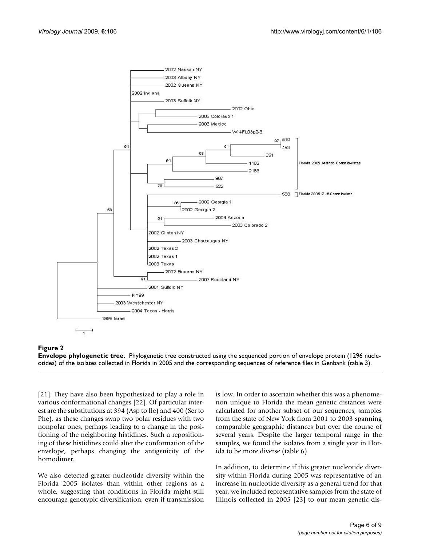

#### **Figure 2**

**Envelope phylogenetic tree.** Phylogenetic tree constructed using the sequenced portion of envelope protein (1296 nucleotides) of the isolates collected in Florida in 2005 and the corresponding sequences of reference files in Genbank (table 3).

[21]. They have also been hypothesized to play a role in various conformational changes [22]. Of particular interest are the substitutions at 394 (Asp to Ile) and 400 (Ser to Phe), as these changes swap two polar residues with two nonpolar ones, perhaps leading to a change in the positioning of the neighboring histidines. Such a repositioning of these histidines could alter the conformation of the envelope, perhaps changing the antigenicity of the homodimer.

We also detected greater nucleotide diversity within the Florida 2005 isolates than within other regions as a whole, suggesting that conditions in Florida might still encourage genotypic diversification, even if transmission

is low. In order to ascertain whether this was a phenomenon unique to Florida the mean genetic distances were calculated for another subset of our sequences, samples from the state of New York from 2001 to 2003 spanning comparable geographic distances but over the course of several years. Despite the larger temporal range in the samples, we found the isolates from a single year in Florida to be more diverse (table 6).

In addition, to determine if this greater nucleotide diversity within Florida during 2005 was representative of an increase in nucleotide diversity as a general trend for that year, we included representative samples from the state of Illinois collected in 2005 [23] to our mean genetic dis-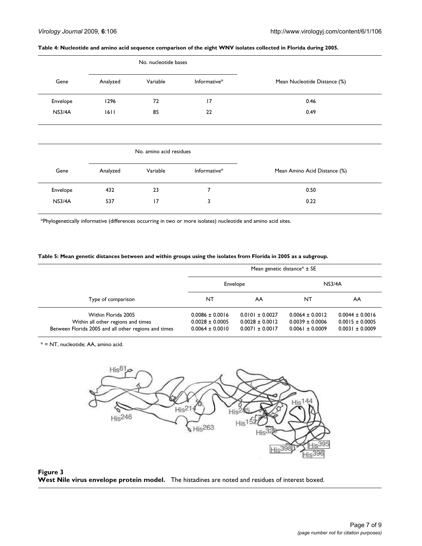#### **Table 4: Nucleotide and amino acid sequence comparison of the eight WNV isolates collected in Florida during 2005.**

|          | No. nucleotide bases |                         |              |                              |
|----------|----------------------|-------------------------|--------------|------------------------------|
| Gene     | Analyzed             | Variable                | Informative* | Mean Nucleotide Distance (%) |
| Envelope | 1296                 | 72                      | 17           | 0.46                         |
| NS3/4A   | 1611                 | 85                      | 22           | 0.49                         |
|          |                      |                         |              |                              |
|          |                      | No. amino acid residues |              |                              |
| Gene     | Analyzed             | Variable                | Informative* | Mean Amino Acid Distance (%) |
| Envelope | 432                  | 23                      | 7            | 0.50                         |

\*Phylogenetically informative (differences occurring in two or more isolates) nucleotide and amino acid sites.

# **Table 5: Mean genetic distances between and within groups using the isolates from Florida in 2005 as a subgroup.**

|                                                                                                                   | Mean genetic distance* $\pm$ SE                                   |                                                                   |                                                                   |                                                                   |
|-------------------------------------------------------------------------------------------------------------------|-------------------------------------------------------------------|-------------------------------------------------------------------|-------------------------------------------------------------------|-------------------------------------------------------------------|
|                                                                                                                   | Envelope                                                          |                                                                   | NS3/4A                                                            |                                                                   |
| Type of comparison                                                                                                | NT                                                                | AA                                                                | NT                                                                | AA                                                                |
| Within Florida 2005<br>Within all other regions and times<br>Between Florida 2005 and all other regions and times | $0.0086 \pm 0.0016$<br>$0.0028 \pm 0.0005$<br>$0.0064 \pm 0.0010$ | $0.0101 \pm 0.0027$<br>$0.0028 \pm 0.0012$<br>$0.0071 \pm 0.0017$ | $0.0064 \pm 0.0012$<br>$0.0039 \pm 0.0006$<br>$0.0061 \pm 0.0009$ | $0.0044 \pm 0.0016$<br>$0.0015 \pm 0.0005$<br>$0.0031 \pm 0.0009$ |

\* = NT, nucleotide; AA, amino acid.



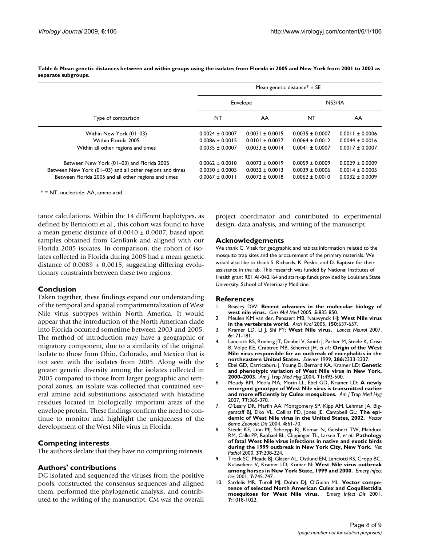|                                                          | Mean genetic distance* $\pm$ SE |                     |                     |                     |
|----------------------------------------------------------|---------------------------------|---------------------|---------------------|---------------------|
|                                                          | Envelope                        |                     | NS3/4A              |                     |
| Type of comparison                                       | NT                              | AA                  | NT                  | AA                  |
| Within New York (01-03)                                  | $0.0024 \pm 0.0007$             | $0.0031 \pm 0.0015$ | $0.0035 \pm 0.0007$ | $0.0011 \pm 0.0006$ |
| Within Florida 2005                                      | $0.0086 \pm 0.0015$             | $0.0101 \pm 0.0027$ | $0.0064 \pm 0.0012$ | $0.0044 \pm 0.0016$ |
| Within all other regions and times                       | $0.0035 \pm 0.0007$             | $0.0033 \pm 0.0014$ | $0.0041 \pm 0.0007$ | $0.0017 \pm 0.0007$ |
| Between New York (01–03) and Florida 2005                | $0.0062 \pm 0.0010$             | $0.0073 \pm 0.0019$ | $0.0059 \pm 0.0009$ | $0.0029 \pm 0.0009$ |
| Between New York (01–03) and all other regions and times | $0.0030 \pm 0.0005$             | $0.0032 \pm 0.0013$ | $0.0039 \pm 0.0006$ | $0.0014 \pm 0.0005$ |
| Between Florida 2005 and all other regions and times     | $0.0067 \pm 0.0011$             | $0.0072 \pm 0.0018$ | $0.0062 \pm 0.0010$ | $0.0032 \pm 0.0009$ |

**Table 6: Mean genetic distances between and within groups using the isolates from Florida in 2005 and New York from 2001 to 2003 as separate subgroups.**

\* = NT, nucleotide; AA, amino acid.

tance calculations. Within the 14 different haplotypes, as defined by Bertolotti et al., this cohort was found to have a mean genetic distance of  $0.0040 \pm 0.0007$ , based upon samples obtained from GenBank and aligned with our Florida 2005 isolates. In comparison, the cohort of isolates collected in Florida during 2005 had a mean genetic distance of  $0.0089 \pm 0.0015$ , suggesting differing evolutionary constraints between these two regions.

# **Conclusion**

Taken together, these findings expand our understanding of the temporal and spatial compartmentalization of West Nile virus subtypes within North America. It would appear that the introduction of the North American clade into Florida occurred sometime between 2003 and 2005. The method of introduction may have a geographic or migratory component, due to a similarity of the original isolate to those from Ohio, Colorado, and Mexico that is not seen with the isolates from 2005. Along with the greater genetic diversity among the isolates collected in 2005 compared to those from larger geographic and temporal zones, an isolate was collected that contained several amino acid substitutions associated with histadine residues located in biologically important areas of the envelope protein. These findings confirm the need to continue to monitor and highlight the uniqueness of the development of the West Nile virus in Florida.

# **Competing interests**

The authors declare that they have no competing interests.

# **Authors' contributions**

DC isolated and sequenced the viruses from the positive pools, constructed the consensus sequences and aligned them, performed the phylogenetic analysis, and contributed to the writing of the manuscript. CM was the overall

project coordinator and contributed to experimental design, data analysis, and writing of the manuscript.

# **Acknowledgements**

We thank C. Vitek for geographic and habitat information related to the mosquito trap sites and the procurement of the primary materials. We would also like to thank S. Richards, K. Pesko, and D. Baptiste for their assistance in the lab. This research was funded by National Institutes of Health grant R01 AI-042164 and start-up funds provided by Louisiana State University, School of Veterinary Medicine.

#### **References**

- 1. Beasley DW: **[Recent advances in the molecular biology of](http://www.ncbi.nlm.nih.gov/entrez/query.fcgi?cmd=Retrieve&db=PubMed&dopt=Abstract&list_uids=16375717) [west nile virus.](http://www.ncbi.nlm.nih.gov/entrez/query.fcgi?cmd=Retrieve&db=PubMed&dopt=Abstract&list_uids=16375717)** *Curr Mol Med* 2005, **5:**835-850.
- 2. Meulen KM van der, Pensaert MB, Nauwynck HJ: **[West Nile virus](http://www.ncbi.nlm.nih.gov/entrez/query.fcgi?cmd=Retrieve&db=PubMed&dopt=Abstract&list_uids=15662484) [in the vertebrate world.](http://www.ncbi.nlm.nih.gov/entrez/query.fcgi?cmd=Retrieve&db=PubMed&dopt=Abstract&list_uids=15662484)** *Arch Virol* 2005, **150:**637-657.
- 3. Kramer LD, Li J, Shi PY: **[West Nile virus.](http://www.ncbi.nlm.nih.gov/entrez/query.fcgi?cmd=Retrieve&db=PubMed&dopt=Abstract&list_uids=17239804)** *Lancet Neurol* 2007, **6:**171-181.
- 4. Lanciotti RS, Roehrig JT, Deubel V, Smith J, Parker M, Steele K, Crise B, Volpe KE, Crabtree MB, Scherret JH, *et al.*: **[Origin of the West](http://www.ncbi.nlm.nih.gov/entrez/query.fcgi?cmd=Retrieve&db=PubMed&dopt=Abstract&list_uids=10600742) [Nile virus responsible for an outbreak of encephalitis in the](http://www.ncbi.nlm.nih.gov/entrez/query.fcgi?cmd=Retrieve&db=PubMed&dopt=Abstract&list_uids=10600742) [northeastern United States.](http://www.ncbi.nlm.nih.gov/entrez/query.fcgi?cmd=Retrieve&db=PubMed&dopt=Abstract&list_uids=10600742)** *Science* 1999, **286:**2333-2337.
- 5. Ebel GD, Carricaburu J, Young D, Bernard KA, Kramer LD: **[Genetic](http://www.ncbi.nlm.nih.gov/entrez/query.fcgi?cmd=Retrieve&db=PubMed&dopt=Abstract&list_uids=15516648) [and phenotypic variation of West Nile virus in New York,](http://www.ncbi.nlm.nih.gov/entrez/query.fcgi?cmd=Retrieve&db=PubMed&dopt=Abstract&list_uids=15516648) [2000–2003.](http://www.ncbi.nlm.nih.gov/entrez/query.fcgi?cmd=Retrieve&db=PubMed&dopt=Abstract&list_uids=15516648)** *Am J Trop Med Hyg* 2004, **71:**493-500.
- 6. Moudy RM, Meola MA, Morin LL, Ebel GD, Kramer LD: **[A newly](http://www.ncbi.nlm.nih.gov/entrez/query.fcgi?cmd=Retrieve&db=PubMed&dopt=Abstract&list_uids=17690414) [emergent genotype of West Nile virus is transmitted earlier](http://www.ncbi.nlm.nih.gov/entrez/query.fcgi?cmd=Retrieve&db=PubMed&dopt=Abstract&list_uids=17690414) [and more efficiently by Culex mosquitoes.](http://www.ncbi.nlm.nih.gov/entrez/query.fcgi?cmd=Retrieve&db=PubMed&dopt=Abstract&list_uids=17690414)** *Am J Trop Med Hyg* 2007, **77:**365-370.
- 7. O'Leary DR, Marfin AA, Montgomery SP, Kipp AM, Lehman JA, Biggerstaff BJ, Elko VL, Collins PD, Jones JE, Campbell GL: **[The epi](http://www.ncbi.nlm.nih.gov/entrez/query.fcgi?cmd=Retrieve&db=PubMed&dopt=Abstract&list_uids=15018774)[demic of West Nile virus in the United States, 2002.](http://www.ncbi.nlm.nih.gov/entrez/query.fcgi?cmd=Retrieve&db=PubMed&dopt=Abstract&list_uids=15018774)** *Vector Borne Zoonotic Dis* 2004, **4:**61-70.
- 8. Steele KE, Linn MJ, Schoepp RJ, Komar N, Geisbert TW, Manduca RM, Calle PP, Raphael BL, Clippinger TL, Larsen T, *et al.*: **[Pathology](http://www.ncbi.nlm.nih.gov/entrez/query.fcgi?cmd=Retrieve&db=PubMed&dopt=Abstract&list_uids=10810985) [of fatal West Nile virus infections in native and exotic birds](http://www.ncbi.nlm.nih.gov/entrez/query.fcgi?cmd=Retrieve&db=PubMed&dopt=Abstract&list_uids=10810985) [during the 1999 outbreak in New York City, New York.](http://www.ncbi.nlm.nih.gov/entrez/query.fcgi?cmd=Retrieve&db=PubMed&dopt=Abstract&list_uids=10810985)** *Vet Pathol* 2000, **37:**208-224.
- 9. Trock SC, Meade BJ, Glaser AL, Ostlund EN, Lanciotti RS, Cropp BC, Kulasekera V, Kramer LD, Komar N: **[West Nile virus outbreak](http://www.ncbi.nlm.nih.gov/entrez/query.fcgi?cmd=Retrieve&db=PubMed&dopt=Abstract&list_uids=11585543) [among horses in New York State, 1999 and 2000.](http://www.ncbi.nlm.nih.gov/entrez/query.fcgi?cmd=Retrieve&db=PubMed&dopt=Abstract&list_uids=11585543)** *Emerg Infect Dis* 2001, **7:**745-747.
- 10. Sardelis MR, Turell MJ, Dohm DJ, O'Guinn ML: **[Vector compe](http://www.ncbi.nlm.nih.gov/entrez/query.fcgi?cmd=Retrieve&db=PubMed&dopt=Abstract&list_uids=11747732)[tence of selected North American Culex and Coquillettidia](http://www.ncbi.nlm.nih.gov/entrez/query.fcgi?cmd=Retrieve&db=PubMed&dopt=Abstract&list_uids=11747732) [mosquitoes for West Nile virus.](http://www.ncbi.nlm.nih.gov/entrez/query.fcgi?cmd=Retrieve&db=PubMed&dopt=Abstract&list_uids=11747732)** *Emerg Infect Dis* 2001, **7:**1018-1022.